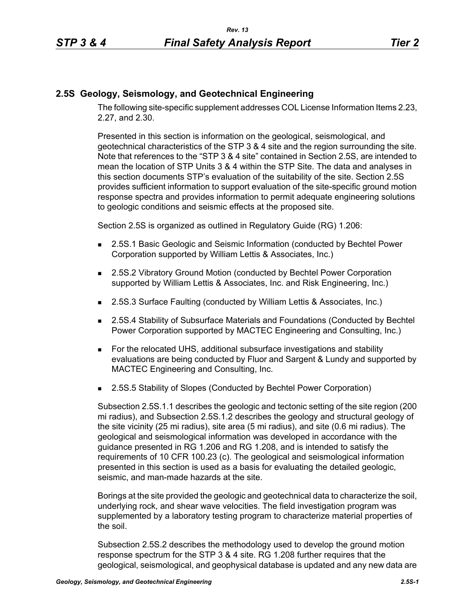## **2.5S Geology, Seismology, and Geotechnical Engineering**

The following site-specific supplement addresses COL License Information Items 2.23, 2.27, and 2.30.

Presented in this section is information on the geological, seismological, and geotechnical characteristics of the STP 3 & 4 site and the region surrounding the site. Note that references to the "STP 3 & 4 site" contained in Section 2.5S, are intended to mean the location of STP Units 3 & 4 within the STP Site. The data and analyses in this section documents STP's evaluation of the suitability of the site. Section 2.5S provides sufficient information to support evaluation of the site-specific ground motion response spectra and provides information to permit adequate engineering solutions to geologic conditions and seismic effects at the proposed site.

Section 2.5S is organized as outlined in Regulatory Guide (RG) 1.206:

- **2.5S.1 Basic Geologic and Seismic Information (conducted by Bechtel Power** Corporation supported by William Lettis & Associates, Inc.)
- 2.5S.2 Vibratory Ground Motion (conducted by Bechtel Power Corporation supported by William Lettis & Associates, Inc. and Risk Engineering, Inc.)
- 2.5S.3 Surface Faulting (conducted by William Lettis & Associates, Inc.)
- 2.5S.4 Stability of Subsurface Materials and Foundations (Conducted by Bechtel Power Corporation supported by MACTEC Engineering and Consulting, Inc.)
- For the relocated UHS, additional subsurface investigations and stability evaluations are being conducted by Fluor and Sargent & Lundy and supported by MACTEC Engineering and Consulting, Inc.
- 2.5S.5 Stability of Slopes (Conducted by Bechtel Power Corporation)

Subsection 2.5S.1.1 describes the geologic and tectonic setting of the site region (200 mi radius), and Subsection 2.5S.1.2 describes the geology and structural geology of the site vicinity (25 mi radius), site area (5 mi radius), and site (0.6 mi radius). The geological and seismological information was developed in accordance with the guidance presented in RG 1.206 and RG 1.208, and is intended to satisfy the requirements of 10 CFR 100.23 (c). The geological and seismological information presented in this section is used as a basis for evaluating the detailed geologic, seismic, and man-made hazards at the site.

Borings at the site provided the geologic and geotechnical data to characterize the soil, underlying rock, and shear wave velocities. The field investigation program was supplemented by a laboratory testing program to characterize material properties of the soil.

Subsection 2.5S.2 describes the methodology used to develop the ground motion response spectrum for the STP 3 & 4 site. RG 1.208 further requires that the geological, seismological, and geophysical database is updated and any new data are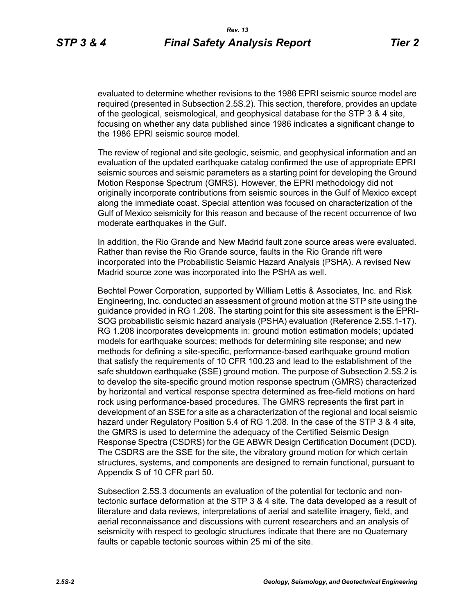evaluated to determine whether revisions to the 1986 EPRI seismic source model are required (presented in Subsection 2.5S.2). This section, therefore, provides an update of the geological, seismological, and geophysical database for the STP 3 & 4 site, focusing on whether any data published since 1986 indicates a significant change to the 1986 EPRI seismic source model.

The review of regional and site geologic, seismic, and geophysical information and an evaluation of the updated earthquake catalog confirmed the use of appropriate EPRI seismic sources and seismic parameters as a starting point for developing the Ground Motion Response Spectrum (GMRS). However, the EPRI methodology did not originally incorporate contributions from seismic sources in the Gulf of Mexico except along the immediate coast. Special attention was focused on characterization of the Gulf of Mexico seismicity for this reason and because of the recent occurrence of two moderate earthquakes in the Gulf.

In addition, the Rio Grande and New Madrid fault zone source areas were evaluated. Rather than revise the Rio Grande source, faults in the Rio Grande rift were incorporated into the Probabilistic Seismic Hazard Analysis (PSHA). A revised New Madrid source zone was incorporated into the PSHA as well.

Bechtel Power Corporation, supported by William Lettis & Associates, Inc. and Risk Engineering, Inc. conducted an assessment of ground motion at the STP site using the guidance provided in RG 1.208. The starting point for this site assessment is the EPRI-SOG probabilistic seismic hazard analysis (PSHA) evaluation (Reference 2.5S.1-17). RG 1.208 incorporates developments in: ground motion estimation models; updated models for earthquake sources; methods for determining site response; and new methods for defining a site-specific, performance-based earthquake ground motion that satisfy the requirements of 10 CFR 100.23 and lead to the establishment of the safe shutdown earthquake (SSE) ground motion. The purpose of Subsection 2.5S.2 is to develop the site-specific ground motion response spectrum (GMRS) characterized by horizontal and vertical response spectra determined as free-field motions on hard rock using performance-based procedures. The GMRS represents the first part in development of an SSE for a site as a characterization of the regional and local seismic hazard under Regulatory Position 5.4 of RG 1.208. In the case of the STP 3 & 4 site, the GMRS is used to determine the adequacy of the Certified Seismic Design Response Spectra (CSDRS) for the GE ABWR Design Certification Document (DCD). The CSDRS are the SSE for the site, the vibratory ground motion for which certain structures, systems, and components are designed to remain functional, pursuant to Appendix S of 10 CFR part 50.

Subsection 2.5S.3 documents an evaluation of the potential for tectonic and nontectonic surface deformation at the STP 3 & 4 site. The data developed as a result of literature and data reviews, interpretations of aerial and satellite imagery, field, and aerial reconnaissance and discussions with current researchers and an analysis of seismicity with respect to geologic structures indicate that there are no Quaternary faults or capable tectonic sources within 25 mi of the site.